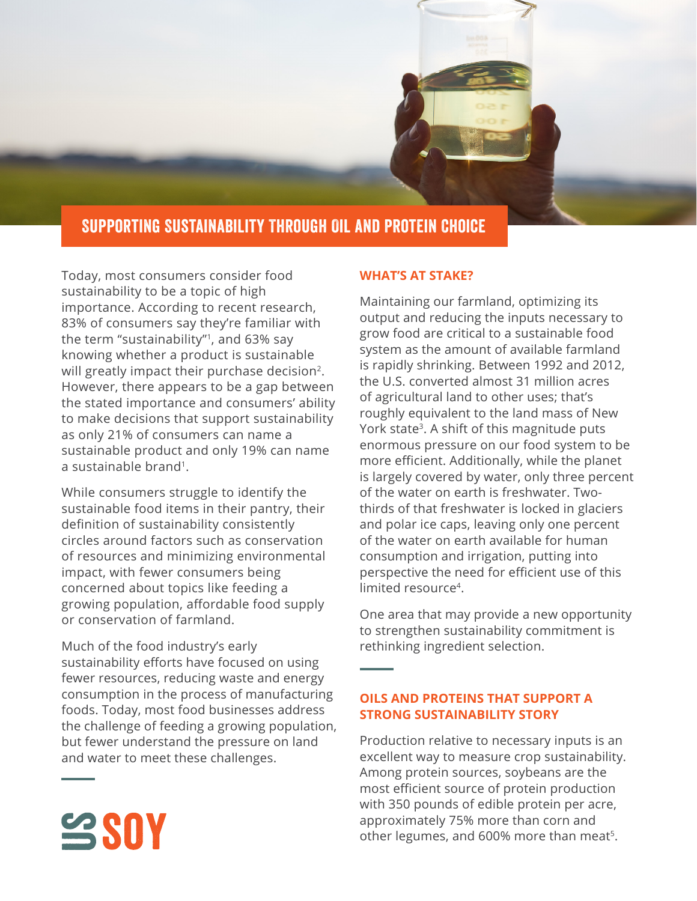

## Supporting Sustainability Through Oil and Protein Choice

Today, most consumers consider food sustainability to be a topic of high importance. According to recent research, 83% of consumers say they're familiar with the term "sustainability"<sup>1</sup>, and 63% say knowing whether a product is sustainable will greatly impact their purchase decision<sup>2</sup>. However, there appears to be a gap between the stated importance and consumers' ability to make decisions that support sustainability as only 21% of consumers can name a sustainable product and only 19% can name a sustainable brand1.

While consumers struggle to identify the sustainable food items in their pantry, their definition of sustainability consistently circles around factors such as conservation of resources and minimizing environmental impact, with fewer consumers being concerned about topics like feeding a growing population, affordable food supply or conservation of farmland.

Much of the food industry's early sustainability efforts have focused on using fewer resources, reducing waste and energy consumption in the process of manufacturing foods. Today, most food businesses address the challenge of feeding a growing population, but fewer understand the pressure on land and water to meet these challenges.

## **WHAT'S AT STAKE?**

Maintaining our farmland, optimizing its output and reducing the inputs necessary to grow food are critical to a sustainable food system as the amount of available farmland is rapidly shrinking. Between 1992 and 2012, the U.S. converted almost 31 million acres of agricultural land to other uses; that's roughly equivalent to the land mass of New York state<sup>3</sup>. A shift of this magnitude puts enormous pressure on our food system to be more efficient. Additionally, while the planet is largely covered by water, only three percent of the water on earth is freshwater. Twothirds of that freshwater is locked in glaciers and polar ice caps, leaving only one percent of the water on earth available for human consumption and irrigation, putting into perspective the need for efficient use of this limited resource<sup>4</sup>.

One area that may provide a new opportunity to strengthen sustainability commitment is rethinking ingredient selection.

## **OILS AND PROTEINS THAT SUPPORT A STRONG SUSTAINABILITY STORY**

Production relative to necessary inputs is an excellent way to measure crop sustainability. Among protein sources, soybeans are the most efficient source of protein production with 350 pounds of edible protein per acre, approximately 75% more than corn and other legumes, and 600% more than meat<sup>5</sup>.

 $S$ SOY